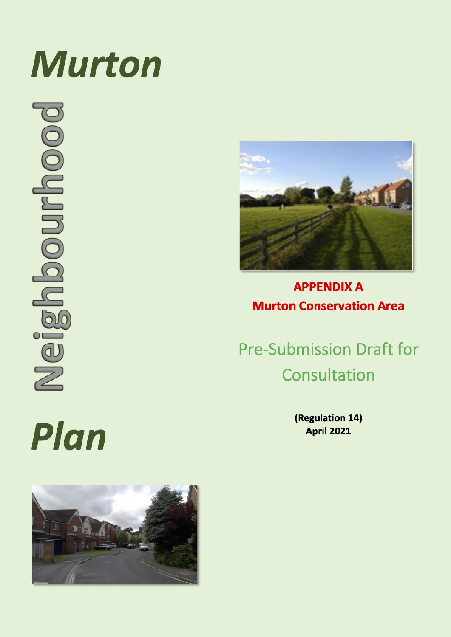## **Murton**

booununcogueiv



### **APPENDIX A Murton Conservation Area**

**Pre-Submission Draft for** Consultation

> (Regulation 14) **April 2021**

# Plan

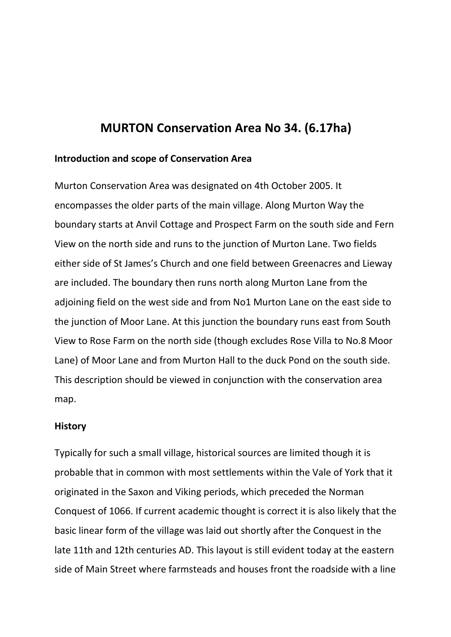#### **MURTON Conservation Area No 34. (6.17ha)**

#### **Introduction and scope of Conservation Area**

Murton Conservation Area was designated on 4th October 2005. It encompasses the older parts of the main village. Along Murton Way the boundary starts at Anvil Cottage and Prospect Farm on the south side and Fern View on the north side and runs to the junction of Murton Lane. Two fields either side of St James's Church and one field between Greenacres and Lieway are included. The boundary then runs north along Murton Lane from the adjoining field on the west side and from No1 Murton Lane on the east side to the junction of Moor Lane. At this junction the boundary runs east from South View to Rose Farm on the north side (though excludes Rose Villa to No.8 Moor Lane) of Moor Lane and from Murton Hall to the duck Pond on the south side. This description should be viewed in conjunction with the conservation area map.

#### **History**

Typically for such a small village, historical sources are limited though it is probable that in common with most settlements within the Vale of York that it originated in the Saxon and Viking periods, which preceded the Norman Conquest of 1066. If current academic thought is correct it is also likely that the basic linear form of the village was laid out shortly after the Conquest in the late 11th and 12th centuries AD. This layout is still evident today at the eastern side of Main Street where farmsteads and houses front the roadside with a line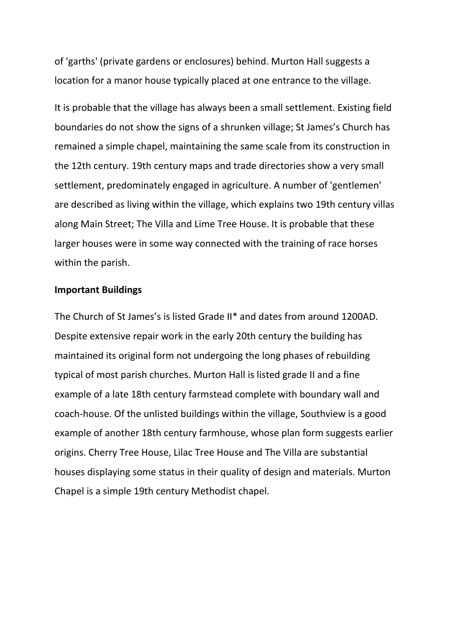of 'garths' (private gardens or enclosures) behind. Murton Hall suggests a location for a manor house typically placed at one entrance to the village.

It is probable that the village has always been a small settlement. Existing field boundaries do not show the signs of a shrunken village; St James's Church has remained a simple chapel, maintaining the same scale from its construction in the 12th century. 19th century maps and trade directories show a very small settlement, predominately engaged in agriculture. A number of 'gentlemen' are described as living within the village, which explains two 19th century villas along Main Street; The Villa and Lime Tree House. It is probable that these larger houses were in some way connected with the training of race horses within the parish.

#### **Important Buildings**

The Church of St James's is listed Grade II\* and dates from around 1200AD. Despite extensive repair work in the early 20th century the building has maintained its original form not undergoing the long phases of rebuilding typical of most parish churches. Murton Hall is listed grade II and a fine example of a late 18th century farmstead complete with boundary wall and coach-house. Of the unlisted buildings within the village, Southview is a good example of another 18th century farmhouse, whose plan form suggests earlier origins. Cherry Tree House, Lilac Tree House and The Villa are substantial houses displaying some status in their quality of design and materials. Murton Chapel is a simple 19th century Methodist chapel.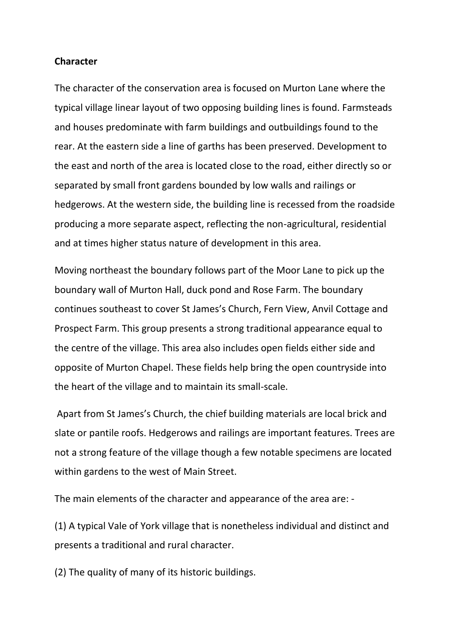#### **Character**

The character of the conservation area is focused on Murton Lane where the typical village linear layout of two opposing building lines is found. Farmsteads and houses predominate with farm buildings and outbuildings found to the rear. At the eastern side a line of garths has been preserved. Development to the east and north of the area is located close to the road, either directly so or separated by small front gardens bounded by low walls and railings or hedgerows. At the western side, the building line is recessed from the roadside producing a more separate aspect, reflecting the non-agricultural, residential and at times higher status nature of development in this area.

Moving northeast the boundary follows part of the Moor Lane to pick up the boundary wall of Murton Hall, duck pond and Rose Farm. The boundary continues southeast to cover St James's Church, Fern View, Anvil Cottage and Prospect Farm. This group presents a strong traditional appearance equal to the centre of the village. This area also includes open fields either side and opposite of Murton Chapel. These fields help bring the open countryside into the heart of the village and to maintain its small-scale.

Apart from St James's Church, the chief building materials are local brick and slate or pantile roofs. Hedgerows and railings are important features. Trees are not a strong feature of the village though a few notable specimens are located within gardens to the west of Main Street.

The main elements of the character and appearance of the area are: -

(1) A typical Vale of York village that is nonetheless individual and distinct and presents a traditional and rural character.

(2) The quality of many of its historic buildings.